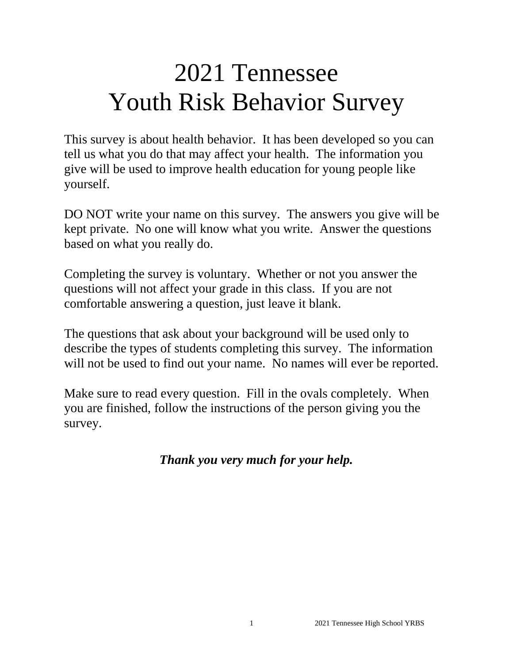# 2021 Tennessee Youth Risk Behavior Survey

This survey is about health behavior. It has been developed so you can tell us what you do that may affect your health. The information you give will be used to improve health education for young people like yourself.

DO NOT write your name on this survey. The answers you give will be kept private. No one will know what you write. Answer the questions based on what you really do.

Completing the survey is voluntary. Whether or not you answer the questions will not affect your grade in this class. If you are not comfortable answering a question, just leave it blank.

The questions that ask about your background will be used only to describe the types of students completing this survey. The information will not be used to find out your name. No names will ever be reported.

Make sure to read every question. Fill in the ovals completely. When you are finished, follow the instructions of the person giving you the survey.

*Thank you very much for your help.*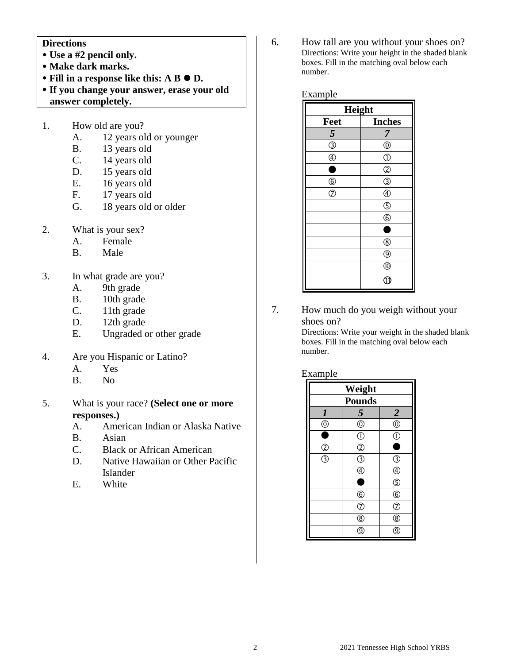#### **Directions**

- **Use a #2 pencil only.**
- **Make dark marks.**
- Fill in a response like this: A B  $\bullet$  D.
- **If you change your answer, erase your old answer completely.**
- 1. How old are you?
	- A. 12 years old or younger
	- B. 13 years old
	- C. 14 years old
	- D. 15 years old
	- E. 16 years old<br>F. 17 years old
	- 17 years old
	- G. 18 years old or older
- 2. What is your sex?
	- A. Female
	- B. Male
- 3. In what grade are you?
	- A. 9th grade
	- B. 10th grade
	- C. 11th grade
	- D. 12th grade
	- E. Ungraded or other grade
- 4. Are you Hispanic or Latino?
	- A. Yes
	- B. No
- 5. What is your race? **(Select one or more responses.)**
	- A. American Indian or Alaska Native
	- B. Asian
	- C. Black or African American
	- D. Native Hawaiian or Other Pacific Islander
	- E. White

6. How tall are you without your shoes on? Directions: Write your height in the shaded blank boxes. Fill in the matching oval below each number.

Example

| Height                  |                    |  |
|-------------------------|--------------------|--|
| Feet                    | <b>Inches</b>      |  |
| $\overline{\mathbf{5}}$ | 7                  |  |
| $\overline{\circledS}$  | $^{\circledR}$     |  |
| $\circledA$             | $\circled{0}$      |  |
| 0                       | $^{\circledR}$     |  |
| $6$                     | $\overline{\circ}$ |  |
| $\bar{\odot}$           | $^{\circledR}$     |  |
|                         | $\circledS$        |  |
|                         | $^{\circ}$         |  |
|                         | C                  |  |
|                         | $^{\circledR}$     |  |
|                         | $^{\circledR}$     |  |
|                         | $^{\circledR}$     |  |
|                         | Œ                  |  |

7. How much do you weigh without your shoes on?

> Directions: Write your weight in the shaded blank boxes. Fill in the matching oval below each number.

#### Example

| Weight                  |                            |                                      |
|-------------------------|----------------------------|--------------------------------------|
| <b>Pounds</b>           |                            |                                      |
| $\boldsymbol{l}$        | $\overline{\mathbf{5}}$    | $\overline{\mathbf{c}}$              |
| $^\copyright$           | $\bigoplus_{i=1}^{\infty}$ | $\overline{\mathbb{O}}$              |
|                         | $\overline{\mathbb{O}}$    | $\tilde{\mathbb{C}}$                 |
| $\overline{2}$          | $\overline{2}$             | ٠                                    |
| $\overline{\mathbb{3}}$ | $\frac{1}{\mathcal{Q}}$    | T                                    |
|                         | $\overline{\circledast}$   | $\overline{\textcircled{\small{4}}}$ |
|                         | Ō                          | $\overline{\mathbb{S}}$              |
|                         | $\circledS$                | $\overline{6}$                       |
|                         | $\overline{\circ}$         | $\overline{C}$                       |
|                         | $^{\circledR}$             | $^\circledR$                         |
|                         | ୍ତ                         |                                      |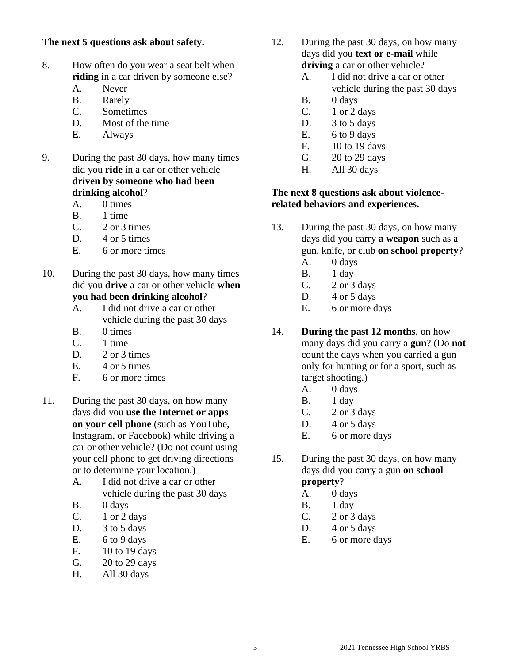#### **The next 5 questions ask about safety.**

- 8. How often do you wear a seat belt when **riding** in a car driven by someone else?
	- A. Never
	- B. Rarely
	- C. Sometimes
	- D. Most of the time
	- E. Always
- 9. During the past 30 days, how many times did you **ride** in a car or other vehicle **driven by someone who had been drinking alcohol**?
	- A. 0 times
	- B. 1 time
	- $C. 2$  or 3 times
	- D. 4 or 5 times
	- E. 6 or more times
- 10. During the past 30 days, how many times did you **drive** a car or other vehicle **when you had been drinking alcohol**?
	- A. I did not drive a car or other vehicle during the past 30 days
	- B. 0 times
	- C. 1 time
	- D. 2 or 3 times
	- E. 4 or 5 times
	- F. 6 or more times
- 11. During the past 30 days, on how many days did you **use the Internet or apps on your cell phone** (such as YouTube, Instagram, or Facebook) while driving a car or other vehicle? (Do not count using your cell phone to get driving directions or to determine your location.)
	- A. I did not drive a car or other vehicle during the past 30 days
	- B. 0 days
	- C. 1 or 2 days
	- D. 3 to 5 days
	- E.  $6 to 9 days$
	- F. 10 to 19 days
	- G. 20 to 29 days
	- H. All 30 days
- 12. During the past 30 days, on how many days did you **text or e-mail** while **driving** a car or other vehicle?
	- A. I did not drive a car or other vehicle during the past 30 days
	- B. 0 days
	- C. 1 or 2 days
	- D. 3 to 5 days
	- E.  $6 to 9 days$
	- F. 10 to 19 days
	- G. 20 to 29 days
	- H. All 30 days

#### **The next 8 questions ask about violencerelated behaviors and experiences.**

- 13. During the past 30 days, on how many days did you carry **a weapon** such as a gun, knife, or club **on school property**?
	- A. 0 days
	- B. 1 day
	- C.  $2 \text{ or } 3 \text{ days}$
	- D. 4 or 5 days
	- E. 6 or more days

# 14. **During the past 12 months**, on how

many days did you carry a **gun**? (Do **not** count the days when you carried a gun only for hunting or for a sport, such as target shooting.)

- A. 0 days
- B. 1 day
- C.  $2 \text{ or } 3 \text{ days}$
- D. 4 or 5 days
- E. 6 or more days
- 15. During the past 30 days, on how many days did you carry a gun **on school property**?
	- A. 0 days
	- B. 1 day
	- C. 2 or 3 days
	- D.  $4$  or  $5$  days
	- E. 6 or more days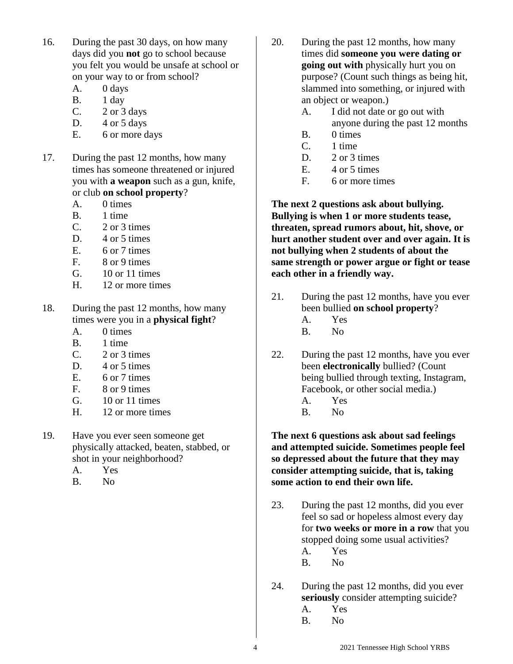- 16. During the past 30 days, on how many days did you **not** go to school because you felt you would be unsafe at school or on your way to or from school?
	- A. 0 days
	- B. 1 day
	- C. 2 or 3 days
	- D.  $4$  or  $5$  days
	- E. 6 or more days
- 17. During the past 12 months, how many times has someone threatened or injured you with **a weapon** such as a gun, knife, or club **on school property**?
	- A. 0 times
	- B. 1 time
	- $C. 2$  or 3 times
	- D. 4 or 5 times
	- E. 6 or 7 times
	- F. 8 or 9 times
	- G. 10 or 11 times
	- H. 12 or more times
- 18. During the past 12 months, how many times were you in a **physical fight**?
	- A. 0 times
	- B. 1 time
	- C. 2 or 3 times
	- D. 4 or 5 times
	- E. 6 or 7 times
	- F. 8 or 9 times
	- G. 10 or 11 times
	- H. 12 or more times
- 19. Have you ever seen someone get physically attacked, beaten, stabbed, or shot in your neighborhood?
	- A. Yes
	- B. No
- 20. During the past 12 months, how many times did **someone you were dating or going out with** physically hurt you on purpose? (Count such things as being hit, slammed into something, or injured with an object or weapon.)
	- A. I did not date or go out with
		- anyone during the past 12 months
	- B. 0 times
	- C. 1 time
	- D. 2 or 3 times
	- E. 4 or 5 times
	- F. 6 or more times

**The next 2 questions ask about bullying. Bullying is when 1 or more students tease, threaten, spread rumors about, hit, shove, or hurt another student over and over again. It is not bullying when 2 students of about the same strength or power argue or fight or tease each other in a friendly way.**

- 21. During the past 12 months, have you ever been bullied **on school property**?
	- A. Yes
	- B. No
- 22. During the past 12 months, have you ever been **electronically** bullied? (Count being bullied through texting, Instagram, Facebook, or other social media.)
	- A. Yes
	- B. No

**The next 6 questions ask about sad feelings and attempted suicide. Sometimes people feel so depressed about the future that they may consider attempting suicide, that is, taking some action to end their own life.**

- 23. During the past 12 months, did you ever feel so sad or hopeless almost every day for **two weeks or more in a row** that you stopped doing some usual activities?
	- A. Yes
	- B. No
- 24. During the past 12 months, did you ever **seriously** consider attempting suicide?
	- A. Yes
	- B. No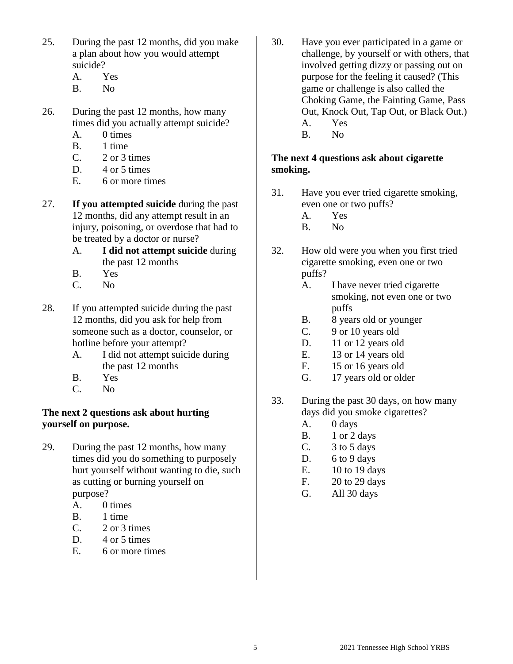- 25. During the past 12 months, did you make a plan about how you would attempt suicide?
	- A. Yes
	- B. No
- 26. During the past 12 months, how many times did you actually attempt suicide?
	- A. 0 times
	- B. 1 time
	- C. 2 or 3 times
	- D. 4 or 5 times
	- E. 6 or more times
- 27. **If you attempted suicide** during the past 12 months, did any attempt result in an injury, poisoning, or overdose that had to be treated by a doctor or nurse?
	- A. **I did not attempt suicide** during the past 12 months
	- B. Yes
	- C. No
- 28. If you attempted suicide during the past 12 months, did you ask for help from someone such as a doctor, counselor, or hotline before your attempt?
	- A. I did not attempt suicide during the past 12 months
	- B. Yes
	- C. No

# **The next 2 questions ask about hurting yourself on purpose.**

- 29. During the past 12 months, how many times did you do something to purposely hurt yourself without wanting to die, such as cutting or burning yourself on purpose?
	- A. 0 times
	- B. 1 time
	- $C. 2$  or 3 times
	- D. 4 or 5 times
	- E. 6 or more times
- 30. Have you ever participated in a game or challenge, by yourself or with others, that involved getting dizzy or passing out on purpose for the feeling it caused? (This game or challenge is also called the Choking Game, the Fainting Game, Pass Out, Knock Out, Tap Out, or Black Out.) A. Yes
	- B. No

## **The next 4 questions ask about cigarette smoking.**

- 31. Have you ever tried cigarette smoking, even one or two puffs?
	- A. Yes
	- B. No
- 32. How old were you when you first tried cigarette smoking, even one or two puffs?
	- A. I have never tried cigarette smoking, not even one or two puffs
	- B. 8 years old or younger
	- C. 9 or 10 years old
	- D. 11 or 12 years old
	- E. 13 or 14 years old
	- F. 15 or 16 years old
	- G. 17 years old or older
- 33. During the past 30 days, on how many days did you smoke cigarettes?
	- A. 0 days
	- B. 1 or 2 days
	- C. 3 to 5 days
	- D. 6 to 9 days
	- E. 10 to 19 days
	- F. 20 to 29 days
	- G. All 30 days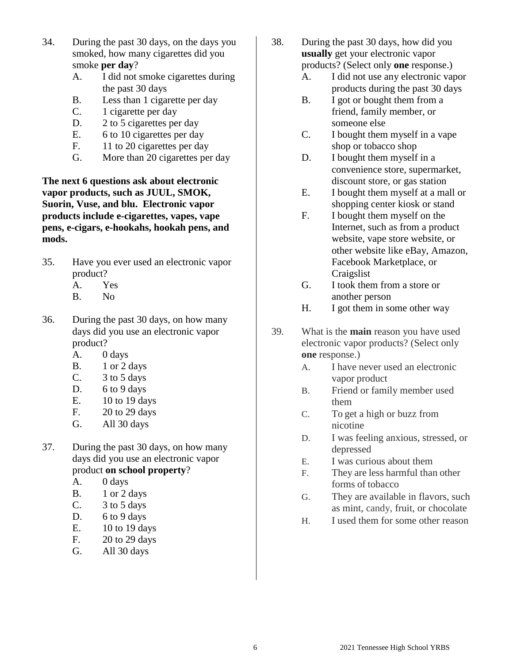- 34. During the past 30 days, on the days you smoked, how many cigarettes did you smoke **per day**?
	- A. I did not smoke cigarettes during the past 30 days
	- B. Less than 1 cigarette per day
	- C. 1 cigarette per day
	- D. 2 to 5 cigarettes per day
	- E. 6 to 10 cigarettes per day
	- F. 11 to 20 cigarettes per day
	- G. More than 20 cigarettes per day

**The next 6 questions ask about electronic vapor products, such as JUUL, SMOK, Suorin, Vuse, and blu. Electronic vapor products include e-cigarettes, vapes, vape pens, e-cigars, e-hookahs, hookah pens, and mods.**

- 35. Have you ever used an electronic vapor product?
	- A. Yes
	- B. No
- 36. During the past 30 days, on how many days did you use an electronic vapor product?
	- A. 0 days
	- B. 1 or 2 days
	- C. 3 to 5 days
	- D. 6 to 9 days
	- E. 10 to 19 days
	- F. 20 to 29 days
	- G. All 30 days
- 37. During the past 30 days, on how many days did you use an electronic vapor product **on school property**?
	- A. 0 days
	- B. 1 or 2 days
	- C. 3 to 5 days
	- D. 6 to 9 days
	- E. 10 to 19 days
	- F. 20 to 29 days
	- G. All 30 days
- 38. During the past 30 days, how did you **usually** get your electronic vapor products? (Select only **one** response.)
	- A. I did not use any electronic vapor products during the past 30 days
	- B. I got or bought them from a friend, family member, or someone else
	- C. I bought them myself in a vape shop or tobacco shop
	- D. I bought them myself in a convenience store, supermarket, discount store, or gas station
	- E. I bought them myself at a mall or shopping center kiosk or stand
	- F. I bought them myself on the Internet, such as from a product website, vape store website, or other website like eBay, Amazon, Facebook Marketplace, or **Craigslist**
	- G. I took them from a store or another person
	- H. I got them in some other way
- 39. What is the **main** reason you have used electronic vapor products? (Select only **one** response.)
	- A. I have never used an electronic vapor product
	- B. Friend or family member used them
	- C. To get a high or buzz from nicotine
	- D. I was feeling anxious, stressed, or depressed
	- E. I was curious about them
	- F. They are less harmful than other forms of tobacco
	- G. They are available in flavors, such as mint, candy, fruit, or chocolate
	- H. I used them for some other reason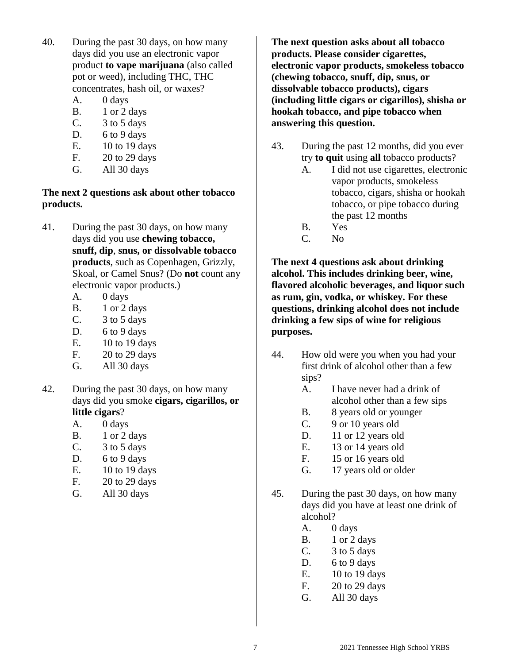- 40. During the past 30 days, on how many days did you use an electronic vapor product **to vape marijuana** (also called pot or weed), including THC, THC concentrates, hash oil, or waxes?
	- A. 0 days
	- B. 1 or 2 days
	- C. 3 to 5 days
	- D. 6 to 9 days
	- E. 10 to 19 days
	- F. 20 to 29 days
	- G. All 30 days

#### **The next 2 questions ask about other tobacco products.**

- 41. During the past 30 days, on how many days did you use **chewing tobacco, snuff, dip**, **snus, or dissolvable tobacco products**, such as Copenhagen, Grizzly, Skoal, or Camel Snus? (Do **not** count any electronic vapor products.)
	- A. 0 days
	- B. 1 or 2 days
	- C. 3 to 5 days
	- D. 6 to 9 days
	- E. 10 to 19 days
	- F. 20 to 29 days
	- G. All 30 days
- 42. During the past 30 days, on how many days did you smoke **cigars, cigarillos, or little cigars**?
	- A. 0 days
	- B. 1 or 2 days
	- C. 3 to 5 days
	- D. 6 to 9 days
	- E. 10 to 19 days
	- F. 20 to 29 days
	- G. All 30 days

**The next question asks about all tobacco products. Please consider cigarettes, electronic vapor products, smokeless tobacco (chewing tobacco, snuff, dip, snus, or dissolvable tobacco products), cigars (including little cigars or cigarillos), shisha or hookah tobacco, and pipe tobacco when answering this question.**

- 43. During the past 12 months, did you ever try **to quit** using **all** tobacco products?
	- A. I did not use cigarettes, electronic vapor products, smokeless tobacco, cigars, shisha or hookah tobacco, or pipe tobacco during the past 12 months
	- B. Yes
	- C. No

**The next 4 questions ask about drinking alcohol. This includes drinking beer, wine, flavored alcoholic beverages, and liquor such as rum, gin, vodka, or whiskey. For these questions, drinking alcohol does not include drinking a few sips of wine for religious purposes.**

- 44. How old were you when you had your first drink of alcohol other than a few sips?
	- A. I have never had a drink of alcohol other than a few sips
	- B. 8 years old or younger
	- C. 9 or 10 years old
	- D. 11 or 12 years old
	- E. 13 or 14 years old
	- F. 15 or 16 years old
	- G. 17 years old or older
- 45. During the past 30 days, on how many days did you have at least one drink of alcohol?
	- A. 0 days
	- B. 1 or 2 days
	- C.  $3 \text{ to } 5 \text{ days}$
	- D. 6 to 9 days
	- E. 10 to 19 days
	- F. 20 to 29 days
	- G. All 30 days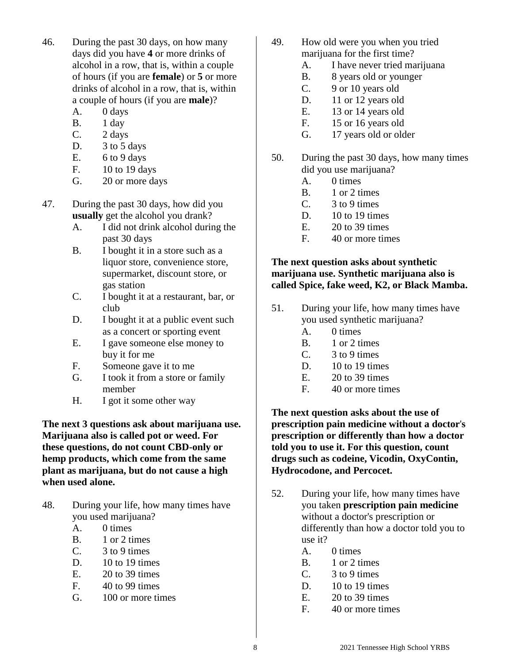- 46. During the past 30 days, on how many days did you have **4** or more drinks of alcohol in a row, that is, within a couple of hours (if you are **female**) or **5** or more drinks of alcohol in a row, that is, within a couple of hours (if you are **male**)?
	- A. 0 days
	- B. 1 day
	- C. 2 days
	- D. 3 to 5 days
	- E.  $6 to 9 days$
	- F. 10 to 19 days
	- G. 20 or more days
- 47. During the past 30 days, how did you **usually** get the alcohol you drank?
	- A. I did not drink alcohol during the past 30 days
	- B. I bought it in a store such as a liquor store, convenience store, supermarket, discount store, or gas station
	- C. I bought it at a restaurant, bar, or club
	- D. I bought it at a public event such as a concert or sporting event
	- E. I gave someone else money to buy it for me
	- F. Someone gave it to me
	- G. I took it from a store or family member
	- H. I got it some other way

**The next 3 questions ask about marijuana use. Marijuana also is called pot or weed. For these questions, do not count CBD-only or hemp products, which come from the same plant as marijuana, but do not cause a high when used alone.**

- 48. During your life, how many times have you used marijuana?
	- A. 0 times
	- B. 1 or 2 times
	- C. 3 to 9 times
	- D.  $10$  to 19 times
	- E. 20 to 39 times
	- F. 40 to 99 times
	- G. 100 or more times
- 49. How old were you when you tried marijuana for the first time?
	- A. I have never tried marijuana
	- B. 8 years old or younger
	- C. 9 or 10 years old
	- D. 11 or 12 years old
	- E. 13 or 14 years old
	- F. 15 or 16 years old
	- G. 17 years old or older
- 50. During the past 30 days, how many times did you use marijuana?
	- A. 0 times
	- B. 1 or 2 times
	- C. 3 to 9 times
	- D. 10 to 19 times
	- E. 20 to 39 times
	- F. 40 or more times

# **The next question asks about synthetic marijuana use. Synthetic marijuana also is called Spice, fake weed, K2, or Black Mamba.**

- 51. During your life, how many times have you used synthetic marijuana?
	- A. 0 times
	- B. 1 or 2 times
	- C. 3 to 9 times
	- D. 10 to 19 times
	- E. 20 to 39 times
	- F. 40 or more times

**The next question asks about the use of prescription pain medicine without a doctor**'**s prescription or differently than how a doctor told you to use it. For this question, count drugs such as codeine, Vicodin, OxyContin, Hydrocodone, and Percocet.**

- 52. During your life, how many times have you taken **prescription pain medicine** without a doctor's prescription or differently than how a doctor told you to use it?
	- A. 0 times
	- B. 1 or 2 times
	- $C.$  3 to 9 times
	- D. 10 to 19 times
	- $E = 20$  to 39 times
	- F. 40 or more times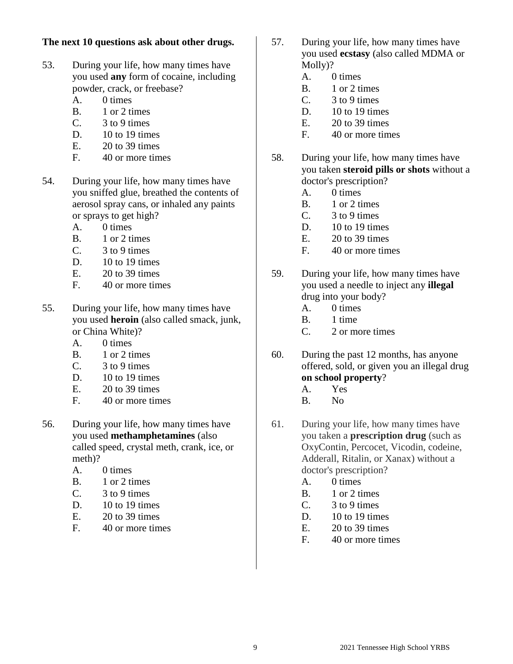## **The next 10 questions ask about other drugs.**

- 53. During your life, how many times have you used **any** form of cocaine, including powder, crack, or freebase?
	- A. 0 times
	- B. 1 or 2 times
	- C. 3 to 9 times
	- D.  $10$  to 19 times
	- $E.$  20 to 39 times
	- F. 40 or more times
- 54. During your life, how many times have you sniffed glue, breathed the contents of aerosol spray cans, or inhaled any paints or sprays to get high?
	- A. 0 times
	- B. 1 or 2 times
	- C. 3 to 9 times
	- D.  $10$  to 19 times
	- E. 20 to 39 times
	- F. 40 or more times
- 55. During your life, how many times have you used **heroin** (also called smack, junk, or China White)?
	- A. 0 times
	- B. 1 or 2 times
	- C. 3 to 9 times
	- D. 10 to 19 times
	- $E = 20$  to 39 times
	- F. 40 or more times
- 56. During your life, how many times have you used **methamphetamines** (also called speed, crystal meth, crank, ice, or meth)?
	- A. 0 times
	- B. 1 or 2 times
	- C. 3 to 9 times
	- D. 10 to 19 times
	- E. 20 to 39 times
	- F. 40 or more times
- 57. During your life, how many times have you used **ecstasy** (also called MDMA or Molly)?
	- A. 0 times
	- B. 1 or 2 times
	- $C.$  3 to 9 times
	- D. 10 to 19 times
	- E. 20 to 39 times
	- F. 40 or more times
- 58. During your life, how many times have you taken **steroid pills or shots** without a doctor's prescription?
	- A. 0 times
	- B. 1 or 2 times
	- $C.$  3 to 9 times
	- D.  $10$  to 19 times
	- E. 20 to 39 times
	- F. 40 or more times
- 59. During your life, how many times have you used a needle to inject any **illegal**  drug into your body?
	- A. 0 times
	- B. 1 time
	- C. 2 or more times
- 60. During the past 12 months, has anyone offered, sold, or given you an illegal drug **on school property**?
	- A. Yes
	- B. No
- 61. During your life, how many times have you taken a **prescription drug** (such as OxyContin, Percocet, Vicodin, codeine, Adderall, Ritalin, or Xanax) without a doctor's prescription?
	- A. 0 times
	- B. 1 or 2 times
	- C. 3 to 9 times
	- D.  $10$  to 19 times
	- E. 20 to 39 times
	- F. 40 or more times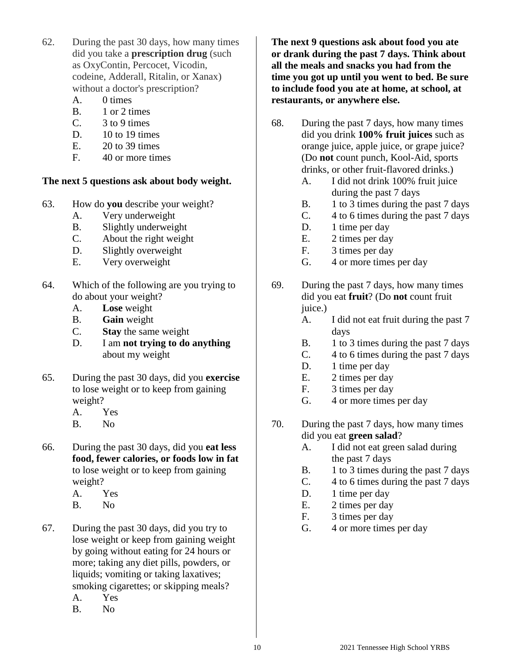- 62. During the past 30 days, how many times did you take a **prescription drug** (such as OxyContin, Percocet, Vicodin, codeine, Adderall, Ritalin, or Xanax) without a doctor's prescription?
	- A. 0 times
	- B. 1 or 2 times
	- C. 3 to 9 times
	- D. 10 to 19 times
	- E. 20 to 39 times
	- F. 40 or more times

# **The next 5 questions ask about body weight.**

- 63. How do **you** describe your weight?
	- A. Very underweight
	- B. Slightly underweight
	- C. About the right weight
	- D. Slightly overweight
	- E. Very overweight
- 64. Which of the following are you trying to do about your weight?
	- A. **Lose** weight
	- B. **Gain** weight
	- C. **Stay** the same weight
	- D. I am **not trying to do anything** about my weight
- 65. During the past 30 days, did you **exercise** to lose weight or to keep from gaining weight?
	- A. Yes
	- B. No
- 66. During the past 30 days, did you **eat less food, fewer calories, or foods low in fat** to lose weight or to keep from gaining weight?
	- A. Yes
	- B. No
- 67. During the past 30 days, did you try to lose weight or keep from gaining weight by going without eating for 24 hours or more; taking any diet pills, powders, or liquids; vomiting or taking laxatives; smoking cigarettes; or skipping meals?
	- A. Yes
	- B. No

**The next 9 questions ask about food you ate or drank during the past 7 days. Think about all the meals and snacks you had from the time you got up until you went to bed. Be sure to include food you ate at home, at school, at restaurants, or anywhere else.**

- 68. During the past 7 days, how many times did you drink **100% fruit juices** such as orange juice, apple juice, or grape juice? (Do **not** count punch, Kool-Aid, sports drinks, or other fruit-flavored drinks.)
	- A. I did not drink 100% fruit juice during the past 7 days
	- B. 1 to 3 times during the past 7 days
	- C. 4 to 6 times during the past 7 days
	- D. 1 time per day
	- E. 2 times per day
	- F. 3 times per day
	- G. 4 or more times per day
- 69. During the past 7 days, how many times did you eat **fruit**? (Do **not** count fruit juice.)
	- A. I did not eat fruit during the past 7 days
	- B. 1 to 3 times during the past 7 days
	- C. 4 to 6 times during the past 7 days
	- D. 1 time per day
	- E. 2 times per day
	- F. 3 times per day
	- G. 4 or more times per day
- 70. During the past 7 days, how many times did you eat **green salad**?
	- A. I did not eat green salad during the past 7 days
	- B. 1 to 3 times during the past 7 days
	- C. 4 to 6 times during the past 7 days
	- D. 1 time per day
	- E. 2 times per day
	- F. 3 times per day
	- G. 4 or more times per day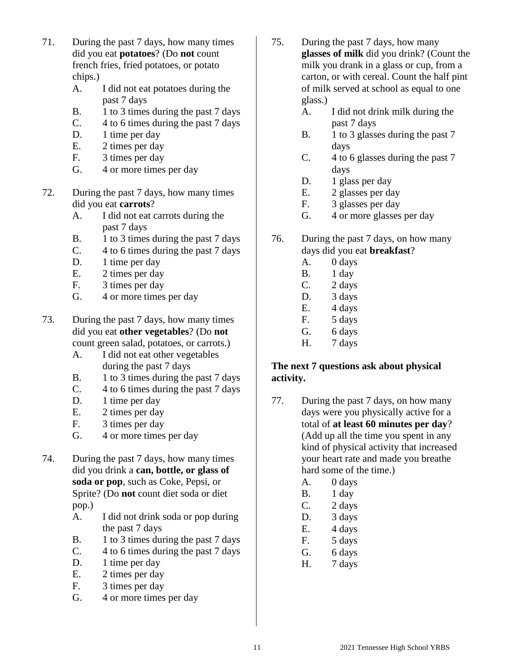- 71. During the past 7 days, how many times did you eat **potatoes**? (Do **not** count french fries, fried potatoes, or potato chips.)
	- A. I did not eat potatoes during the past 7 days
	- B. 1 to 3 times during the past 7 days
	- C. 4 to 6 times during the past 7 days
	- D. 1 time per day
	- E. 2 times per day
	- F. 3 times per day
	- G. 4 or more times per day
- 72. During the past 7 days, how many times did you eat **carrots**?
	- A. I did not eat carrots during the past 7 days
	- B. 1 to 3 times during the past 7 days
	- C. 4 to 6 times during the past 7 days
	- D. 1 time per day
	- E. 2 times per day
	- F. 3 times per day
	- G. 4 or more times per day
- 73. During the past 7 days, how many times did you eat **other vegetables**? (Do **not** count green salad, potatoes, or carrots.)
	- A. I did not eat other vegetables during the past 7 days
	- B. 1 to 3 times during the past 7 days
	- C. 4 to 6 times during the past 7 days
	- D. 1 time per day
	- E. 2 times per day
	- F. 3 times per day
	- G. 4 or more times per day
- 74. During the past 7 days, how many times did you drink a **can, bottle, or glass of soda or pop**, such as Coke, Pepsi, or Sprite? (Do **not** count diet soda or diet pop.)
	- A. I did not drink soda or pop during the past 7 days
	- B. 1 to 3 times during the past 7 days
	- C. 4 to 6 times during the past 7 days
	- D. 1 time per day
	- E. 2 times per day
	- F. 3 times per day
	- G. 4 or more times per day
- 75. During the past 7 days, how many **glasses of milk** did you drink? (Count the milk you drank in a glass or cup, from a carton, or with cereal. Count the half pint of milk served at school as equal to one glass.)
	- A. I did not drink milk during the past 7 days
	- B. 1 to 3 glasses during the past 7 days
	- C. 4 to 6 glasses during the past 7 days
	- D. 1 glass per day
	- E. 2 glasses per day
	- F. 3 glasses per day
	- G. 4 or more glasses per day
- 76. During the past 7 days, on how many days did you eat **breakfast**?
	- A. 0 days
	- B. 1 day
	- C. 2 days
	- D. 3 days
	- E. 4 days
	- F. 5 days
	- G. 6 days
	- H. 7 days

# **The next 7 questions ask about physical activity.**

- 77. During the past 7 days, on how many days were you physically active for a total of **at least 60 minutes per day**? (Add up all the time you spent in any kind of physical activity that increased your heart rate and made you breathe hard some of the time.)
	- A. 0 days
	- B. 1 day
	- C. 2 days
	- D. 3 days
	- E. 4 days
	- F. 5 days
	- G. 6 days
	- H. 7 days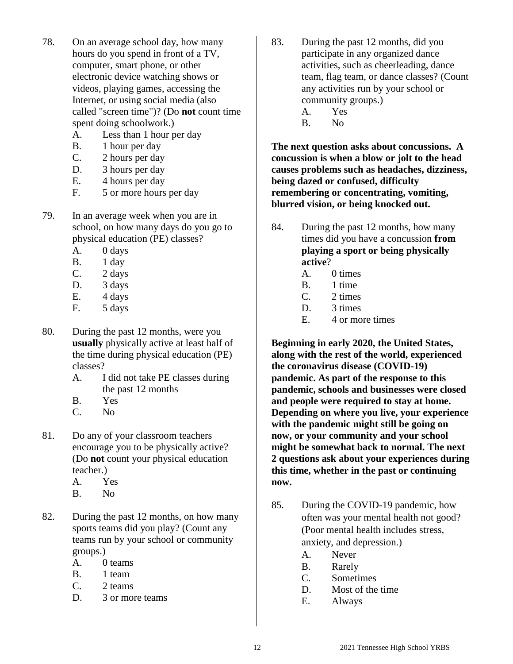- 78. On an average school day, how many hours do you spend in front of a TV, computer, smart phone, or other electronic device watching shows or videos, playing games, accessing the Internet, or using social media (also called "screen time")? (Do **not** count time spent doing schoolwork.)
	- A. Less than 1 hour per day
	- B. 1 hour per day
	- C. 2 hours per day
	- D. 3 hours per day
	- E. 4 hours per day
	- F. 5 or more hours per day
- 79. In an average week when you are in school, on how many days do you go to physical education (PE) classes?
	- A. 0 days
	- B. 1 day
	- C. 2 days
	- D. 3 days
	- E. 4 days
	- F. 5 days
- 80. During the past 12 months, were you **usually** physically active at least half of the time during physical education (PE) classes?
	- A. I did not take PE classes during the past 12 months
	- B. Yes
	- C. No
- 81. Do any of your classroom teachers encourage you to be physically active? (Do **not** count your physical education teacher.)
	- A. Yes
	- B. No
- 82. During the past 12 months, on how many sports teams did you play? (Count any teams run by your school or community groups.)
	- A. 0 teams
	- B. 1 team
	- C. 2 teams
	- D. 3 or more teams
- 83. During the past 12 months, did you participate in any organized dance activities, such as cheerleading, dance team, flag team, or dance classes? (Count any activities run by your school or community groups.)
	- A. Yes
	- B. No

**The next question asks about concussions. A concussion is when a blow or jolt to the head causes problems such as headaches, dizziness, being dazed or confused, difficulty remembering or concentrating, vomiting, blurred vision, or being knocked out.**

- 84. During the past 12 months, how many times did you have a concussion **from playing a sport or being physically active**?
	- A. 0 times
	- B. 1 time
	- C. 2 times
	- D. 3 times
	- E. 4 or more times

**Beginning in early 2020, the United States, along with the rest of the world, experienced the coronavirus disease (COVID-19) pandemic. As part of the response to this pandemic, schools and businesses were closed and people were required to stay at home. Depending on where you live, your experience with the pandemic might still be going on now, or your community and your school might be somewhat back to normal. The next 2 questions ask about your experiences during this time, whether in the past or continuing now.**

- 85. During the COVID-19 pandemic, how often was your mental health not good? (Poor mental health includes stress, anxiety, and depression.)
	- A. Never
	- B. Rarely
	- C. Sometimes
	- D. Most of the time
	- E. Always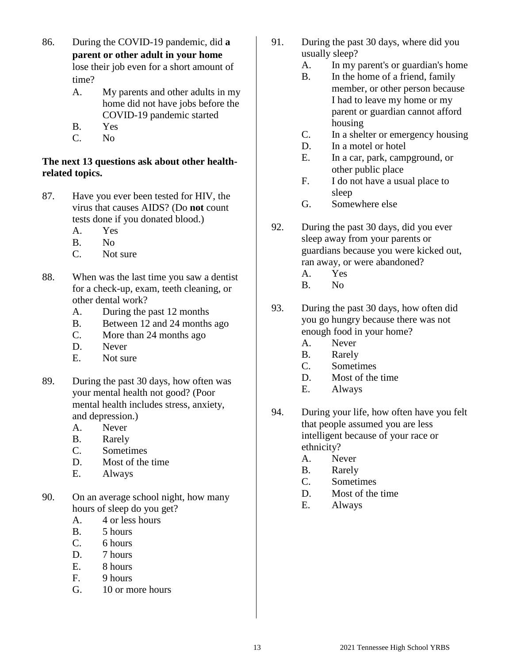- 86. During the COVID-19 pandemic, did **a parent or other adult in your home** lose their job even for a short amount of time?
	- A. My parents and other adults in my home did not have jobs before the COVID-19 pandemic started
	- B. Yes
	- C. No

# **The next 13 questions ask about other healthrelated topics.**

- 87. Have you ever been tested for HIV, the virus that causes AIDS? (Do **not** count tests done if you donated blood.)
	- A. Yes
	- B. No
	- C. Not sure
- 88. When was the last time you saw a dentist for a check-up, exam, teeth cleaning, or other dental work?
	- A. During the past 12 months
	- B. Between 12 and 24 months ago
	- C. More than 24 months ago
	- D. Never
	- E. Not sure
- 89. During the past 30 days, how often was your mental health not good? (Poor mental health includes stress, anxiety, and depression.)
	- A. Never
	- B. Rarely
	- C. Sometimes
	- D. Most of the time
	- E. Always
- 90. On an average school night, how many hours of sleep do you get?
	- A. 4 or less hours
	- B. 5 hours
	- C. 6 hours
	- D. 7 hours
	- E. 8 hours
	- F. 9 hours
	- G. 10 or more hours
- 91. During the past 30 days, where did you usually sleep?
	- A. In my parent's or guardian's home
	- B. In the home of a friend, family member, or other person because I had to leave my home or my parent or guardian cannot afford housing
	- C. In a shelter or emergency housing
	- D. In a motel or hotel
	- E. In a car, park, campground, or other public place
	- F. I do not have a usual place to sleep
	- G. Somewhere else
- 92. During the past 30 days, did you ever sleep away from your parents or guardians because you were kicked out, ran away, or were abandoned?
	- A. Yes
	- B. No
- 93. During the past 30 days, how often did you go hungry because there was not enough food in your home?
	- A. Never
	- B. Rarely
	- C. Sometimes
	- D. Most of the time
	- E. Always
- 94. During your life, how often have you felt that people assumed you are less intelligent because of your race or ethnicity?
	- A. Never
	- B. Rarely
	- C. Sometimes
	- D. Most of the time
	- E. Always